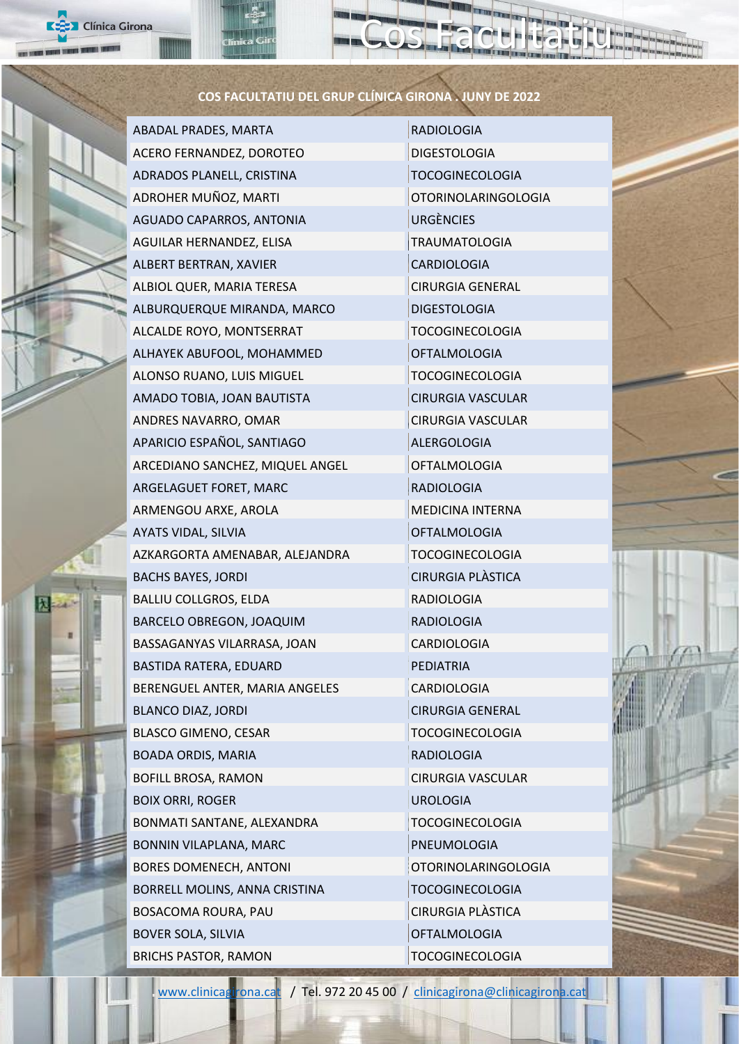## **COS FACULTATIU DEL GRUP CLÍNICA GIRONA . JUNY DE 2022**

ABADAL PRADES, MARTA RADIOLOGIA ACERO FERNANDEZ, DOROTEO DIGESTOLOGIA ADRADOS PLANELL, CRISTINA TOCOGINECOLOGIA ADROHER MUÑOZ, MARTI CHE CONTROLOGIA AGUADO CAPARROS, ANTONIA URGÈNCIES AGUILAR HERNANDEZ, ELISA TRAUMATOLOGIA ALBERT BERTRAN, XAVIER CARDIOLOGIA ALBIOL QUER, MARIA TERESA CIRURGIA GENERAL ALBURQUERQUE MIRANDA, MARCO DIGESTOLOGIA ALCALDE ROYO, MONTSERRAT TOCOGINECOLOGIA ALHAYEK ABUFOOL, MOHAMMED **OFTALMOLOGIA** ALONSO RUANO, LUIS MIGUEL TOCOGINECOLOGIA AMADO TOBIA, JOAN BAUTISTA CIRURGIA VASCULAR ANDRES NAVARRO, OMAR CIRURGIA VASCULAR APARICIO ESPAÑOL, SANTIAGO ALERGOLOGIA ARCEDIANO SANCHEZ, MIQUEL ANGEL **OFTALMOLOGIA** ARGELAGUET FORET, MARC RADIOLOGIA ARMENGOU ARXE, AROLA MEDICINA INTERNA AYATS VIDAL, SILVIA OFTALMOLOGIA AZKARGORTA AMENABAR, ALEJANDRA TOCOGINECOLOGIA BACHS BAYES, JORDI CIRURGIA PLÀSTICA BALLIU COLLGROS, ELDA RADIOLOGIA BARCELO OBREGON, JOAQUIM RADIOLOGIA BASSAGANYAS VILARRASA, JOAN CARDIOLOGIA BASTIDA RATERA, EDUARD PEDIATRIA BERENGUEL ANTER, MARIA ANGELES CARDIOLOGIA BLANCO DIAZ, JORDI CIRURGIA GENERAL BLASCO GIMENO, CESAR TOCOGINECOLOGIA BOADA ORDIS, MARIA RADIOLOGIA BOFILL BROSA, RAMON CIRURGIA VASCULAR BOIX ORRI, ROGER UROLOGIA BONMATI SANTANE, ALEXANDRA TOCOGINECOLOGIA BONNIN VILAPLANA, MARC PNEUMOLOGIA BORES DOMENECH, ANTONI **CONTRACTES** OTORINOLARINGOLOGIA BORRELL MOLINS, ANNA CRISTINA TOCOGINECOLOGIA BOSACOMA ROURA, PAU CIRURGIA PLÀSTICA BOVER SOLA, SILVIA OFTALMOLOGIA

**X** Clínica Girona

BRICHS PASTOR, RAMON TOCOGINECOLOGIA

Cos Facultatiu



[www.clinicagirona.cat](http://www.clinicagirona.cat/) / Tel. 972 20 45 00 / [clinicagirona@clinicagirona.cat](mailto:clinicagirona@clinicagirona.cat)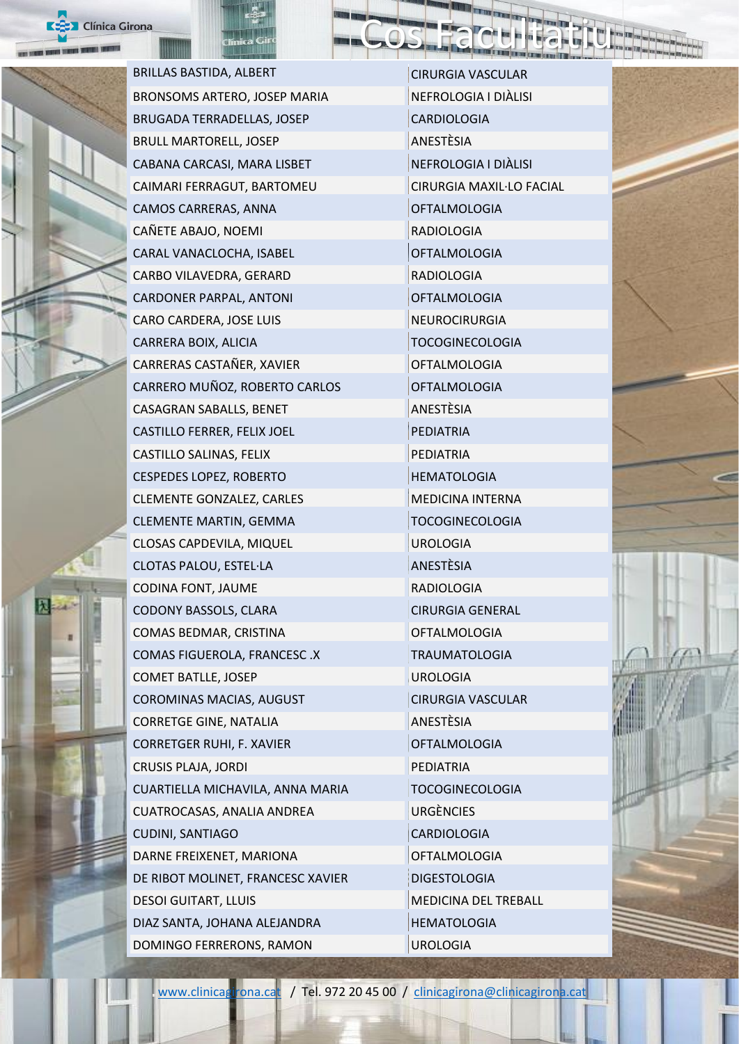



BRILLAS BASTIDA, ALBERT CIRURGIA VASCULAR BRONSOMS ARTERO, JOSEP MARIA NEFROLOGIA I DIÀLISI BRUGADA TERRADELLAS, JOSEP CARDIOLOGIA BRULL MARTORELL, JOSEP ANESTÈSIA CABANA CARCASI, MARA LISBET NEFROLOGIA I DIÀLISI CAIMARI FERRAGUT, BARTOMEU CIRURGIA MAXIL·LO FACIAL CAMOS CARRERAS, ANNA OFTALMOLOGIA CAÑETE ABAJO, NOEMI RADIOLOGIA CARAL VANACLOCHA, ISABEL CARAL VANACLOCHA, ISABEL CARBO VILAVEDRA, GERARD RADIOLOGIA CARDONER PARPAL, ANTONI CARDONER PARPAL, ANTONI CARO CARDERA, JOSE LUIS NEUROCIRURGIA CARRERA BOIX, ALICIA TOCOGINECOLOGIA CARRERAS CASTAÑER, XAVIER CARRERAS CONTRA DE LA CONTRATIVITATIVITATIVITATIVITATIVITATIVITATIVITATIVITATIVITATI CARRERO MUÑOZ, ROBERTO CARLOS OFTALMOLOGIA CASAGRAN SABALLS, BENET ANESTÈSIA CASTILLO FERRER, FELIX JOEL PEDIATRIA CASTILLO SALINAS, FELIX PEDIATRIA CESPEDES LOPEZ, ROBERTO HEMATOLOGIA CLEMENTE GONZALEZ, CARLES MEDICINA INTERNA CLEMENTE MARTIN, GEMMA TOCOGINECOLOGIA CLOSAS CAPDEVILA, MIQUEL UROLOGIA CLOTAS PALOU, ESTEL·LA ANESTÈSIA CODINA FONT, JAUME RADIOLOGIA CODONY BASSOLS, CLARA CIRURGIA GENERAL COMAS BEDMAR, CRISTINA **COMAS BEDMAR, CRISTINA** COMAS FIGUEROLA, FRANCESC .X TRAUMATOLOGIA COMET BATLLE, JOSEP UROLOGIA COROMINAS MACIAS, AUGUST CIRURGIA VASCULAR CORRETGE GINE, NATALIA ANESTÈSIA CORRETGER RUHI, F. XAVIER OFTALMOLOGIA CRUSIS PLAJA, JORDI PEDIATRIA CUARTIELLA MICHAVILA, ANNA MARIA TOCOGINECOLOGIA CUATROCASAS, ANALIA ANDREA URGÈNCIES CUDINI, SANTIAGO CARDIOLOGIA DARNE FREIXENET, MARIONA OFTALMOLOGIA DE RIBOT MOLINET, FRANCESC XAVIER DIGESTOLOGIA DESOI GUITART, LLUIS MEDICINA DEL TREBALL DIAZ SANTA, JOHANA ALEJANDRA HEMATOLOGIA DOMINGO FERRERONS, RAMON UROLOGIA

Cos Facultatiu

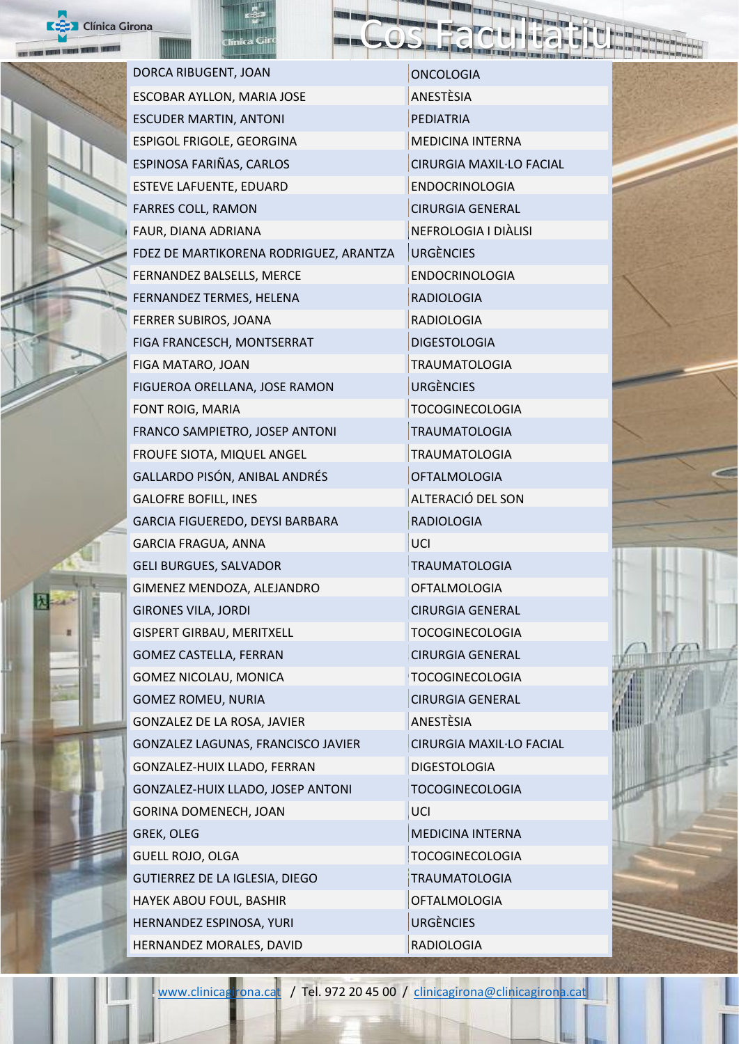



DORCA RIBUGENT, JOAN ONCOLOGIA ESCOBAR AYLLON, MARIA JOSE ANESTÈSIA ESCUDER MARTIN, ANTONI PEDIATRIA ESPIGOL FRIGOLE, GEORGINA MEDICINA INTERNA ESPINOSA FARIÑAS, CARLOS CIRURGIA MAXIL·LO FACIAL ESTEVE LAFUENTE, EDUARD ENDOCRINOLOGIA FARRES COLL, RAMON CIRURGIA GENERAL FAUR, DIANA ADRIANA NEFROLOGIA I DIÀLISI FDEZ DE MARTIKORENA RODRIGUEZ, ARANTZA URGÈNCIES FERNANDEZ BALSELLS, MERCE ENDOCRINOLOGIA FERNANDEZ TERMES, HELENA RADIOLOGIA **FERRER SUBIROS, JOANA** RADIOLOGIA FIGA FRANCESCH, MONTSERRAT DIGESTOLOGIA FIGA MATARO, JOAN TERAUMATOLOGIA FIGUEROA ORELLANA, JOSE RAMON URGÈNCIES FONT ROIG. MARIA TOCOGINECOLOGIA FRANCO SAMPIETRO, JOSEP ANTONI TRAUMATOLOGIA FROUFE SIOTA, MIQUEL ANGEL TRAUMATOLOGIA GALLARDO PISÓN, ANIBAL ANDRÉS OFTALMOLOGIA GALOFRE BOFILL, INES ALTERACIÓ DEL SON GARCIA FIGUEREDO, DEYSI BARBARA RADIOLOGIA GARCIA FRAGUA, ANNA UCI GELI BURGUES, SALVADOR TRAUMATOLOGIA GIMENEZ MENDOZA, ALEJANDRO **OFTALMOLOGIA** GIRONES VILA, JORDI CIRURGIA GENERAL GISPERT GIRBAU, MERITXELL TOCOGINECOLOGIA GOMEZ CASTELLA, FERRAN CIRURGIA GENERAL GOMEZ NICOLAU, MONICA TOCOGINECOLOGIA GOMEZ ROMEU, NURIA CIRURGIA GENERAL GONZALEZ DE LA ROSA, JAVIER ANESTÈSIA GONZALEZ LAGUNAS, FRANCISCO JAVIER CIRURGIA MAXIL·LO FACIAL GONZALEZ-HUIX LLADO, FERRAN DIGESTOLOGIA GONZALEZ-HUIX LLADO, JOSEP ANTONI TOCOGINECOLOGIA GORINA DOMENECH, JOAN UCI GREK, OLEG MEDICINA INTERNA GUELL ROJO, OLGA TOCOGINECOLOGIA GUTIERREZ DE LA IGLESIA, DIEGO TRAUMATOLOGIA HAYEK ABOU FOUL, BASHIR **CONTACT ACCORDING** OFTALMOLOGIA HERNANDEZ ESPINOSA, YURI UNITED SURGÈNCIES HERNANDEZ MORALES, DAVID

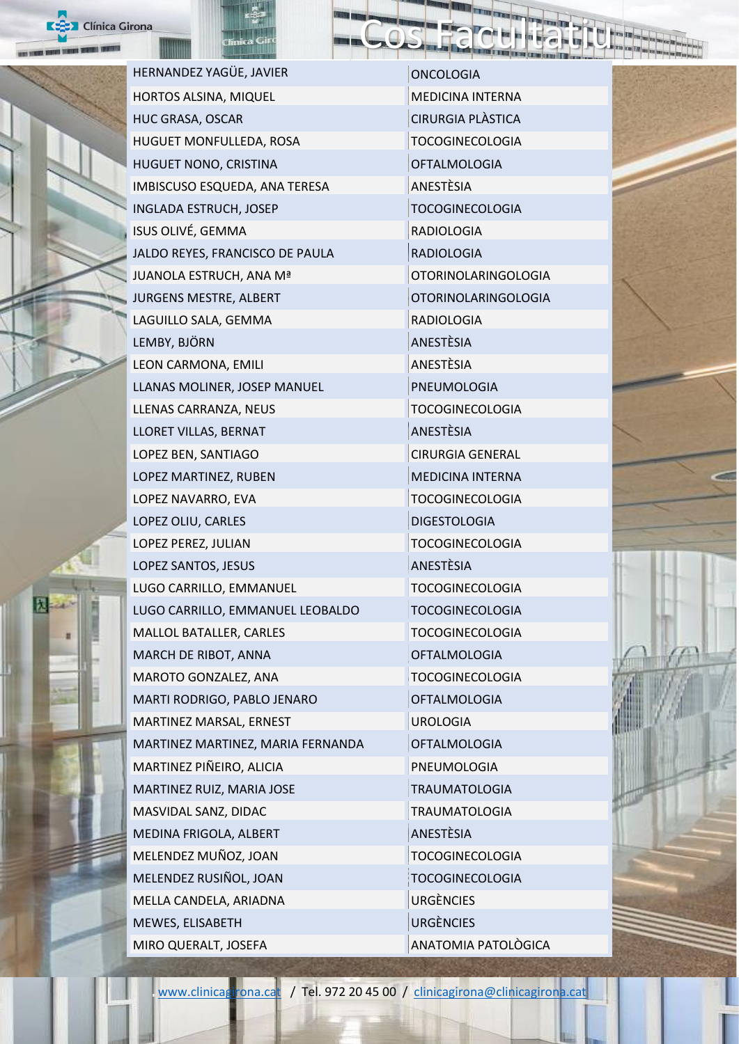



HERNANDEZ YAGÜE, JAVIER ONCOLOGIA HORTOS ALSINA, MIQUEL MEDICINA INTERNA HUC GRASA, OSCAR CIRURGIA PLÀSTICA HUGUET MONFULLEDA, ROSA TOCOGINECOLOGIA HUGUET NONO, CRISTINA **OFTALMOLOGIA** IMBISCUSO ESQUEDA, ANA TERESA **ANESTÈSIA** INGLADA ESTRUCH, JOSEP TOCOGINECOLOGIA ISUS OLIVÉ, GEMMA RADIOLOGIA JALDO REYES, FRANCISCO DE PAULA RADIOLOGIA JUANOLA ESTRUCH, ANA Mª **OTORINOLARINGOLOGIA** JURGENS MESTRE, ALBERT **CONTACT CONTACT OT A CONTACT OF A CONTACT A** LAGUILLO SALA, GEMMA RADIOLOGIA LEMBY, BJÖRN ANESTÈSIA LEON CARMONA, EMILI ANESTÈSIA LLANAS MOLINER, JOSEP MANUEL PNEUMOLOGIA LLENAS CARRANZA, NEUS TOCOGINECOLOGIA LLORET VILLAS, BERNAT ANESTÈSIA LOPEZ BEN, SANTIAGO CIRURGIA GENERAL LOPEZ MARTINEZ, RUBEN MEDICINA INTERNA LOPEZ NAVARRO, EVA TOCOGINECOLOGIA LOPEZ OLIU, CARLES DIGESTOLOGIA LOPEZ PEREZ, JULIAN TOCOGINECOLOGIA LOPEZ SANTOS, JESUS ANESTÈSIA LUGO CARRILLO, EMMANUEL TOCOGINECOLOGIA LUGO CARRILLO, EMMANUEL LEOBALDO TOCOGINECOLOGIA MALLOL BATALLER, CARLES TOCOGINECOLOGIA MARCH DE RIBOT, ANNA OFTALMOLOGIA MAROTO GONZALEZ, ANA TOCOGINECOLOGIA MARTI RODRIGO, PABLO JENARO **OFTALMOLOGIA** MARTINEZ MARSAL, ERNEST UROLOGIA MARTINEZ MARTINEZ, MARIA FERNANDA OFTALMOLOGIA MARTINEZ PIÑEIRO, ALICIA PNEUMOLOGIA MARTINEZ RUIZ, MARIA JOSE TRAUMATOLOGIA MASVIDAL SANZ, DIDAC TRAUMATOLOGIA MEDINA FRIGOLA, ALBERT ANESTÈSIA MELENDEZ MUÑOZ, JOAN TOCOGINECOLOGIA MELENDEZ RUSIÑOL, JOAN TOCOGINECOLOGIA MELLA CANDELA, ARIADNA URGÈNCIES MEWES, ELISABETH URGÈNCIES MIRO QUERALT, JOSEFA ANATOMIA PATOLÒGICA

Cos Facultatiu



[www.clinicagirona.cat](http://www.clinicagirona.cat/) / Tel. 972 20 45 00 / [clinicagirona@clinicagirona.cat](mailto:clinicagirona@clinicagirona.cat)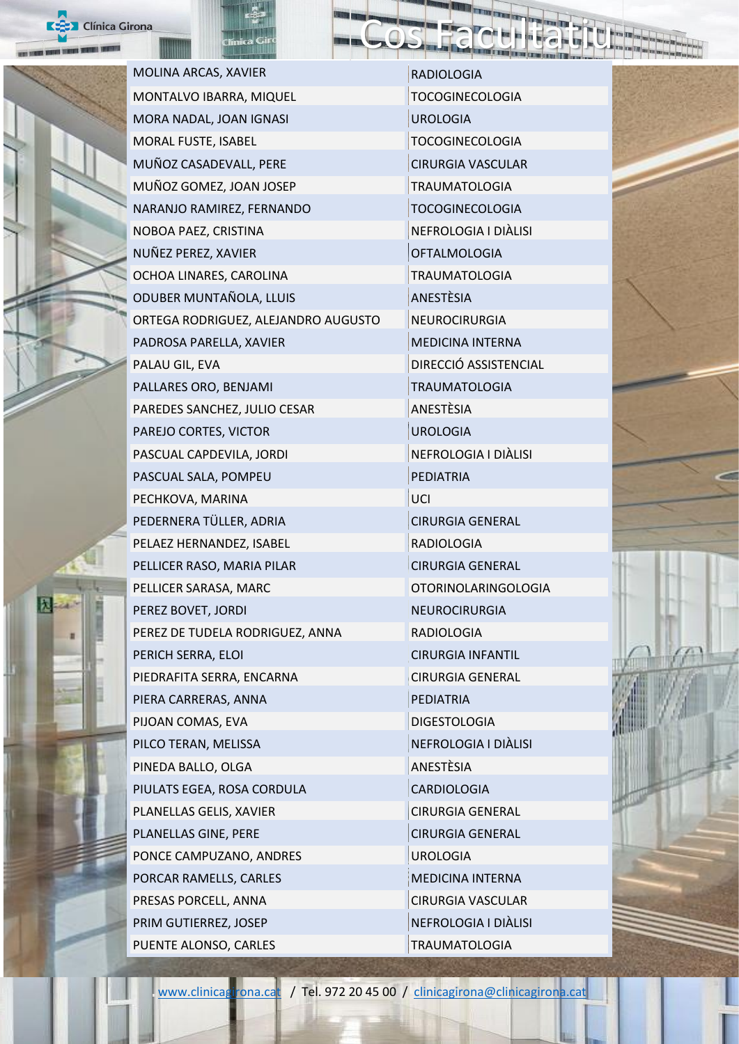



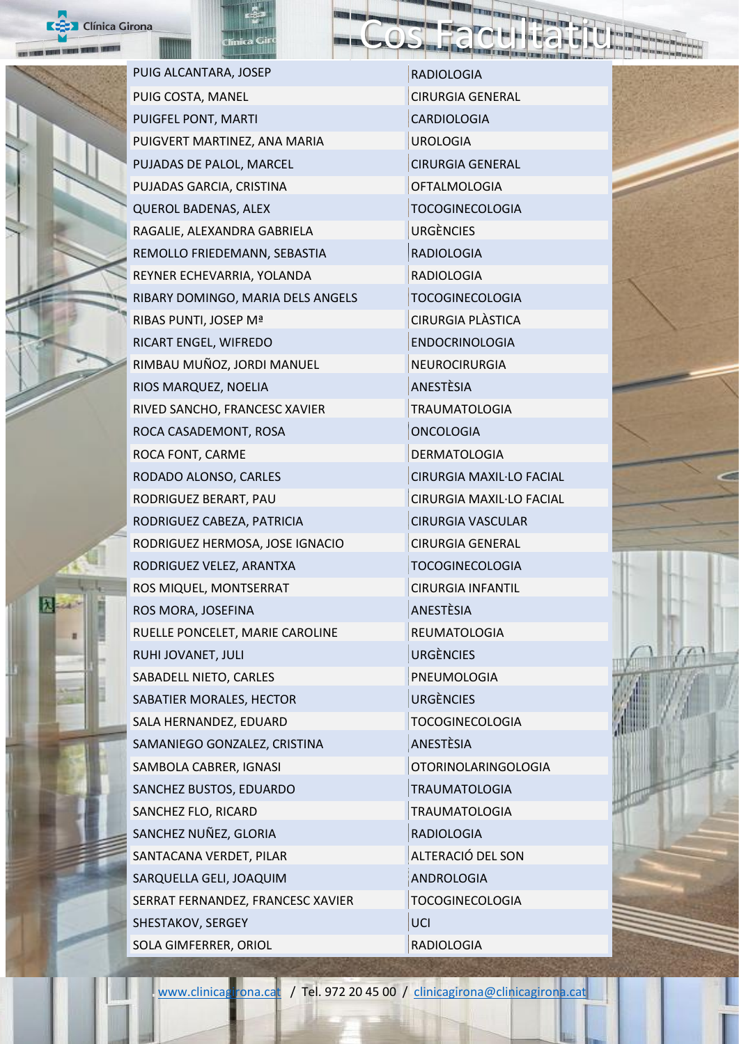



PUIG ALCANTARA, JOSEP RADIOLOGIA PUIG COSTA, MANEL CIRURGIA GENERAL PUIGFEL PONT, MARTI CARDIOLOGIA PUIGVERT MARTINEZ, ANA MARIA UROLOGIA PUJADAS DE PALOL, MARCEL CIRURGIA GENERAL PUJADAS GARCIA, CRISTINA OFTALMOLOGIA QUEROL BADENAS, ALEX TOCOGINECOLOGIA RAGALIE, ALEXANDRA GABRIELA URGÈNCIES REMOLLO FRIEDEMANN, SEBASTIA RADIOLOGIA REYNER ECHEVARRIA, YOLANDA RADIOLOGIA RIBARY DOMINGO, MARIA DELS ANGELS TOCOGINECOLOGIA RIBAS PUNTI, JOSEP Mª CIRURGIA PLÀSTICA RICART ENGEL, WIFREDO ENDOCRINOLOGIA RIMBAU MUÑOZ, JORDI MANUEL NEUROCIRURGIA RIOS MARQUEZ, NOELIA ANESTÈSIA RIVED SANCHO, FRANCESC XAVIER TRAUMATOLOGIA ROCA CASADEMONT, ROSA ONCOLOGIA ROCA FONT, CARME DERMATOLOGIA RODADO ALONSO, CARLES CIRURGIA MAXIL·LO FACIAL RODRIGUEZ BERART, PAU CIRURGIA MAXIL·LO FACIAL RODRIGUEZ CABEZA, PATRICIA CIRURGIA VASCULAR RODRIGUEZ HERMOSA, JOSE IGNACIO CIRURGIA GENERAL RODRIGUEZ VELEZ, ARANTXA TOCOGINECOLOGIA ROS MIQUEL, MONTSERRAT CIRURGIA INFANTIL ROS MORA, JOSEFINA ANESTÈSIA RUELLE PONCELET, MARIE CAROLINE REUMATOLOGIA RUHI JOVANET, JULI URGÈNCIES SABADELL NIETO, CARLES PNEUMOLOGIA SABATIER MORALES, HECTOR URGÈNCIES SALA HERNANDEZ, EDUARD TOCOGINECOLOGIA SAMANIEGO GONZALEZ, CRISTINA ANESTÈSIA SAMBOLA CABRER, IGNASI OTORINOLARINGOLOGIA SANCHEZ BUSTOS, EDUARDO TRAUMATOLOGIA SANCHEZ FLO, RICARD TRAUMATOLOGIA SANCHEZ NUÑEZ, GLORIA RADIOLOGIA SANTACANA VERDET, PILAR ALTERACIÓ DEL SON SARQUELLA GELI, JOAQUIM ANDROLOGIA SERRAT FERNANDEZ, FRANCESC XAVIER TOCOGINECOLOGIA SHESTAKOV, SERGEY UCI SOLA GIMFERRER, ORIOL **RADIOLOGIA**